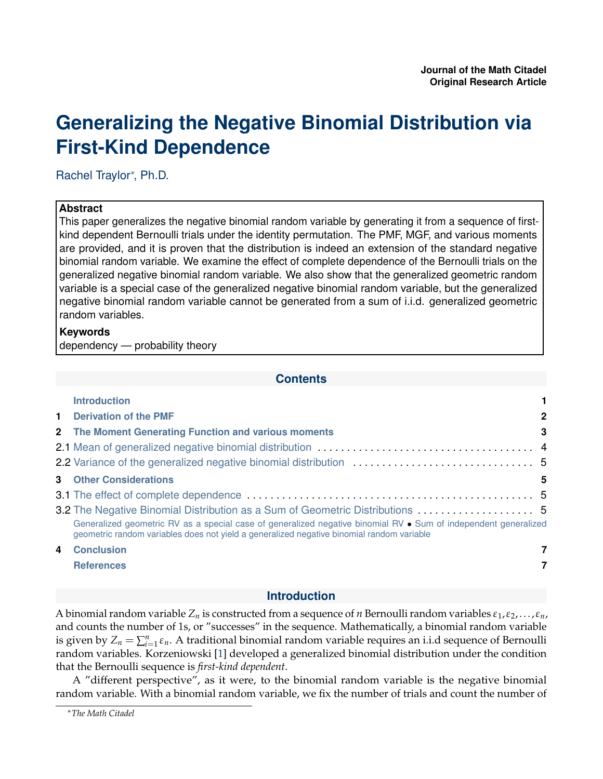# <span id="page-0-0"></span>**Generalizing the Negative Binomial Distribution via First-Kind Dependence**

Rachel Traylor<sup>∗</sup> , Ph.D.

# **Abstract**

This paper generalizes the negative binomial random variable by generating it from a sequence of firstkind dependent Bernoulli trials under the identity permutation. The PMF, MGF, and various moments are provided, and it is proven that the distribution is indeed an extension of the standard negative binomial random variable. We examine the effect of complete dependence of the Bernoulli trials on the generalized negative binomial random variable. We also show that the generalized geometric random variable is a special case of the generalized negative binomial random variable, but the generalized negative binomial random variable cannot be generated from a sum of i.i.d. generalized geometric random variables.

# **Keywords**

dependency — probability theory

# **Contents**

|   | <b>Introduction</b>                                                                                                                                                                                          |              |
|---|--------------------------------------------------------------------------------------------------------------------------------------------------------------------------------------------------------------|--------------|
|   | <b>1</b> Derivation of the PMF                                                                                                                                                                               | $\mathbf{2}$ |
|   | 2 The Moment Generating Function and various moments                                                                                                                                                         | 3            |
|   |                                                                                                                                                                                                              |              |
|   |                                                                                                                                                                                                              |              |
|   | <b>3</b> Other Considerations                                                                                                                                                                                | 5            |
|   |                                                                                                                                                                                                              |              |
|   | 3.2 The Negative Binomial Distribution as a Sum of Geometric Distributions  5                                                                                                                                |              |
|   | Generalized geometric RV as a special case of generalized negative binomial RV • Sum of independent generalized<br>geometric random variables does not yield a generalized negative binomial random variable |              |
| 4 | <b>Conclusion</b>                                                                                                                                                                                            | 7            |
|   | <b>References</b>                                                                                                                                                                                            |              |

# **Introduction**

A binomial random variable  $Z_n$  is constructed from a sequence of *n* Bernoulli random variables  $\varepsilon_1, \varepsilon_2, \ldots, \varepsilon_n$ , and counts the number of 1s, or "successes" in the sequence. Mathematically, a binomial random variable is given by  $Z_n = \sum_{i=1}^n \varepsilon_n$ . A traditional binomial random variable requires an i.i.d sequence of Bernoulli random variables. Korzeniowski [\[1\]](#page-6-1) developed a generalized binomial distribution under the condition that the Bernoulli sequence is *first-kind dependent*.

A "different perspective", as it were, to the binomial random variable is the negative binomial random variable. With a binomial random variable, we fix the number of trials and count the number of

<sup>∗</sup>*The Math Citadel*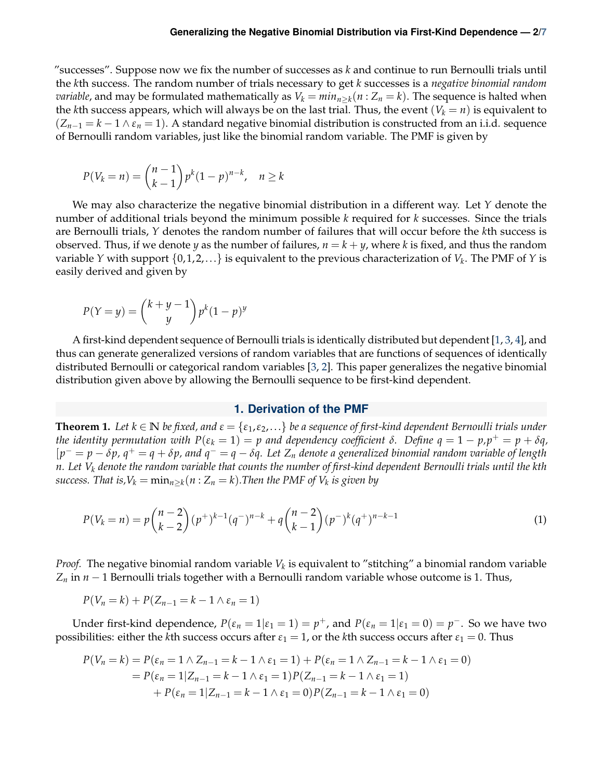"successes". Suppose now we fix the number of successes as *k* and continue to run Bernoulli trials until the *k*th success. The random number of trials necessary to get *k* successes is a *negative binomial random variable*, and may be formulated mathematically as  $V_k = min_{n \geq k}$  ( $n : Z_n = k$ ). The sequence is halted when the *k*th success appears, which will always be on the last trial. Thus, the event  $(V_k = n)$  is equivalent to  $(Z_{n-1} = k - 1 \wedge \varepsilon_n = 1)$ . A standard negative binomial distribution is constructed from an i.i.d. sequence of Bernoulli random variables, just like the binomial random variable. The PMF is given by

$$
P(V_k = n) = {n-1 \choose k-1} p^k (1-p)^{n-k}, \quad n \ge k
$$

We may also characterize the negative binomial distribution in a different way. Let *Y* denote the number of additional trials beyond the minimum possible *k* required for *k* successes. Since the trials are Bernoulli trials, *Y* denotes the random number of failures that will occur before the *k*th success is observed. Thus, if we denote *y* as the number of failures,  $n = k + y$ , where *k* is fixed, and thus the random variable *Y* with support {0, 1, 2,. . .} is equivalent to the previous characterization of *V<sup>k</sup>* . The PMF of *Y* is easily derived and given by

$$
P(Y = y) = {k + y - 1 \choose y} p^{k} (1 - p)^{y}
$$

A first-kind dependent sequence of Bernoulli trials is identically distributed but dependent [\[1,](#page-6-1) [3,](#page-6-3) [4\]](#page-6-4), and thus can generate generalized versions of random variables that are functions of sequences of identically distributed Bernoulli or categorical random variables [\[3,](#page-6-3) [2\]](#page-6-5). This paper generalizes the negative binomial distribution given above by allowing the Bernoulli sequence to be first-kind dependent.

## **1. Derivation of the PMF**

<span id="page-1-0"></span>**Theorem 1.** Let  $k \in \mathbb{N}$  be fixed, and  $\varepsilon = \{\varepsilon_1, \varepsilon_2, ...\}$  be a sequence of first-kind dependent Bernoulli trials under *the identity permutation with*  $P(\varepsilon_k = 1) = p$  *and dependency coefficient δ*. Define  $q = 1 - p$ , $p^+ = p + \delta q$ ,  $[p^{-} = p - \delta p$ ,  $q^{+} = q + \delta p$ , and  $q^{-} = q - \delta q$ . Let  $Z_n$  denote a generalized binomial random variable of length *n. Let V<sup>k</sup> denote the random variable that counts the number of first-kind dependent Bernoulli trials until the kth success. That is,* $V_k = \min_{n \geq k} (n : Z_n = k)$ *.Then the PMF of*  $V_k$  *is given by* 

$$
P(V_k = n) = p \binom{n-2}{k-2} (p^+)^{k-1} (q^-)^{n-k} + q \binom{n-2}{k-1} (p^-)^k (q^+)^{n-k-1}
$$
 (1)

*Proof.* The negative binomial random variable  $V_k$  is equivalent to "stitching" a binomial random variable  $Z_n$  in *n* − 1 Bernoulli trials together with a Bernoulli random variable whose outcome is 1. Thus,

$$
P(V_n = k) + P(Z_{n-1} = k - 1 \wedge \varepsilon_n = 1)
$$

Under first-kind dependence,  $P(\varepsilon_n = 1 | \varepsilon_1 = 1) = p^+$ , and  $P(\varepsilon_n = 1 | \varepsilon_1 = 0) = p^-$ . So we have two possibilities: either the *k*th success occurs after  $\varepsilon_1 = 1$ , or the *k*th success occurs after  $\varepsilon_1 = 0$ . Thus

$$
P(V_n = k) = P(\varepsilon_n = 1 \land Z_{n-1} = k - 1 \land \varepsilon_1 = 1) + P(\varepsilon_n = 1 \land Z_{n-1} = k - 1 \land \varepsilon_1 = 0)
$$
  
=  $P(\varepsilon_n = 1 | Z_{n-1} = k - 1 \land \varepsilon_1 = 1) P(Z_{n-1} = k - 1 \land \varepsilon_1 = 1)$   
+  $P(\varepsilon_n = 1 | Z_{n-1} = k - 1 \land \varepsilon_1 = 0) P(Z_{n-1} = k - 1 \land \varepsilon_1 = 0)$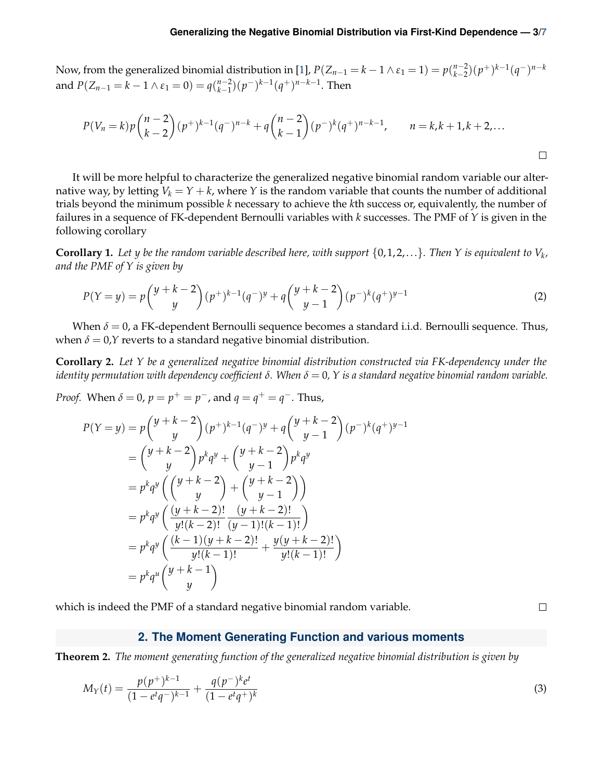Now, from the generalized binomial distribution in [\[1\]](#page-6-1),  $P(Z_{n-1} = k - 1 \wedge \varepsilon_1 = 1) = p\binom{n-2}{k-2}$ *n*<sup>−2</sup><sub> $(k-2)$ </sub> $(p+1)(k-1)(q-1)$ <sup>*n*−*k*</sup> and  $P(Z_{n-1} = k - 1 \wedge \varepsilon_1 = 0) = q {n-2 \choose k-1}$ *n*<sup>−2</sup>)( $p$ <sup>−</sup>)<sup>*k*−1</sup>( $q$ <sup>+</sup>)<sup>*n*−*k*−1</sup>. Then

$$
P(V_n = k)p\binom{n-2}{k-2}(p^+)^{k-1}(q^-)^{n-k} + q\binom{n-2}{k-1}(p^-)^k(q^+)^{n-k-1}, \qquad n = k, k+1, k+2, \ldots
$$

It will be more helpful to characterize the generalized negative binomial random variable our alternative way, by letting  $V_k = Y + k$ , where *Y* is the random variable that counts the number of additional trials beyond the minimum possible *k* necessary to achieve the *k*th success or, equivalently, the number of failures in a sequence of FK-dependent Bernoulli variables with *k* successes. The PMF of *Y* is given in the following corollary

**Corollary 1.** Let  $y$  be the random variable described here, with support  $\{0,1,2,\ldots\}$ . Then  $Y$  is equivalent to  $V_k$ , *and the PMF of Y is given by*

$$
P(Y = y) = p\binom{y + k - 2}{y} (p^+)^{k-1} (q^-)^y + q\binom{y + k - 2}{y - 1} (p^-)^k (q^+)^{y - 1}
$$
 (2)

When  $\delta = 0$ , a FK-dependent Bernoulli sequence becomes a standard i.i.d. Bernoulli sequence. Thus, when  $\delta = 0$ ,*Y* reverts to a standard negative binomial distribution.

**Corollary 2.** *Let Y be a generalized negative binomial distribution constructed via FK-dependency under the identity permutation with dependency coefficient δ. When δ* = 0*, Y is a standard negative binomial random variable.*

*Proof.* When  $\delta = 0$ ,  $p = p^+ = p^-$ , and  $q = q^+ = q^-$ . Thus,

$$
P(Y = y) = p \binom{y + k - 2}{y} (p^+)^{k-1} (q^-)^y + q \binom{y + k - 2}{y - 1} (p^-)^k (q^+)^{y - 1}
$$
  
\n
$$
= \binom{y + k - 2}{y} p^k q^y + \binom{y + k - 2}{y - 1} p^k q^y
$$
  
\n
$$
= p^k q^y \binom{y + k - 2}{y} + \binom{y + k - 2}{y - 1}
$$
  
\n
$$
= p^k q^y \binom{(y + k - 2)!}{y! (k - 2)!} \frac{(y + k - 2)!}{(y - 1)! (k - 1)!}
$$
  
\n
$$
= p^k q^y \binom{(k - 1)(y + k - 2)!}{y! (k - 1)!} + \frac{y (y + k - 2)!}{y! (k - 1)!}
$$
  
\n
$$
= p^k q^u \binom{y + k - 1}{y}
$$

which is indeed the PMF of a standard negative binomial random variable.

<span id="page-2-1"></span> $\Box$ 

 $\Box$ 

# **2. The Moment Generating Function and various moments**

<span id="page-2-0"></span>**Theorem 2.** *The moment generating function of the generalized negative binomial distribution is given by*

$$
M_Y(t) = \frac{p(p^+)^{k-1}}{(1 - e^t q^-)^{k-1}} + \frac{q(p^-)^k e^t}{(1 - e^t q^+)^k}
$$
\n(3)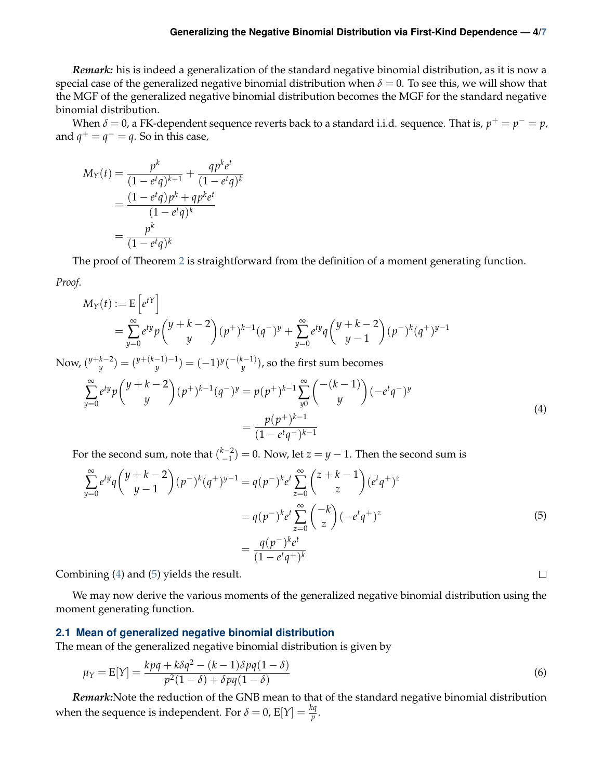## **Generalizing the Negative Binomial Distribution via First-Kind Dependence — 4[/7](#page-6-2)**

*Remark:* his is indeed a generalization of the standard negative binomial distribution, as it is now a special case of the generalized negative binomial distribution when  $\delta = 0$ . To see this, we will show that the MGF of the generalized negative binomial distribution becomes the MGF for the standard negative binomial distribution.

When  $\delta = 0$ , a FK-dependent sequence reverts back to a standard i.i.d. sequence. That is,  $p^+ = p^- = p$ , and  $q^+ = q^- = q$ . So in this case,

$$
M_Y(t) = \frac{p^k}{(1 - e^t q)^{k-1}} + \frac{q p^k e^t}{(1 - e^t q)^k}
$$

$$
= \frac{(1 - e^t q) p^k + q p^k e^t}{(1 - e^t q)^k}
$$

$$
= \frac{p^k}{(1 - e^t q)^k}
$$

The proof of Theorem [2](#page-2-1) is straightforward from the definition of a moment generating function.

*Proof.*

$$
M_Y(t) := \mathbb{E}\left[e^{tY}\right]
$$
  
=  $\sum_{y=0}^{\infty} e^{ty} p \binom{y+k-2}{y} (p^+)^{k-1} (q^-)^y + \sum_{y=0}^{\infty} e^{ty} q \binom{y+k-2}{y-1} (p^-)^k (q^+)^{y-1}$ 

Now, ( *y*+*k*−2  $\binom{k-2}{y}$  =  $\binom{y+(k-1)-1}{y}$  $(y^{-(k-1)-1}) = (-1)^y {\binom{-(k-1)}{y}}$  $\binom{c-1}{y}$ , so the first sum becomes

$$
\sum_{y=0}^{\infty} e^{ty} p \binom{y+k-2}{y} (p^+)^{k-1} (q^-)^y = p(p^+)^{k-1} \sum_{y=0}^{\infty} \binom{-(k-1)}{y} (-e^t q^-)^y
$$
\n
$$
= \frac{p(p^+)^{k-1}}{(1-e^t q^-)^{k-1}}
$$
\n(4)

For the second sum, note that  $\binom{k-2}{-1}$  $\binom{(-2)}{-1}$  = 0. Now, let  $z = y - 1$ . Then the second sum is

$$
\sum_{y=0}^{\infty} e^{ty} q \binom{y+k-2}{y-1} (p^{-})^k (q^{+})^{y-1} = q(p^{-})^k e^t \sum_{z=0}^{\infty} \binom{z+k-1}{z} (e^t q^{+})^z
$$

$$
= q(p^{-})^k e^t \sum_{z=0}^{\infty} \binom{-k}{z} (-e^t q^{+})^z
$$

$$
= \frac{q(p^{-})^k e^t}{(1 - e^t q^{+})^k}
$$
(5)

<span id="page-3-2"></span><span id="page-3-1"></span> $\Box$ 

Combining [\(4\)](#page-3-1) and [\(5\)](#page-3-2) yields the result.

We may now derive the various moments of the generalized negative binomial distribution using the moment generating function.

#### <span id="page-3-0"></span>**2.1 Mean of generalized negative binomial distribution**

The mean of the generalized negative binomial distribution is given by

$$
\mu_Y = E[Y] = \frac{kpq + k\delta q^2 - (k-1)\delta pq(1-\delta)}{p^2(1-\delta) + \delta pq(1-\delta)}
$$
\n(6)

*Remark:*Note the reduction of the GNB mean to that of the standard negative binomial distribution when the sequence is independent. For  $\delta = 0$ ,  $E[Y] = \frac{kq}{p}$ .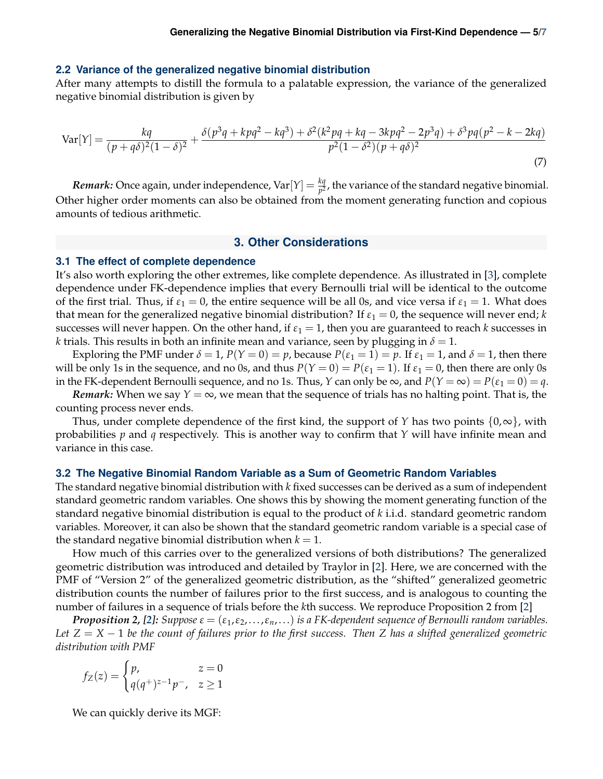#### <span id="page-4-0"></span>**2.2 Variance of the generalized negative binomial distribution**

After many attempts to distill the formula to a palatable expression, the variance of the generalized negative binomial distribution is given by

$$
\text{Var}[Y] = \frac{kq}{(p+q\delta)^2(1-\delta)^2} + \frac{\delta(p^3q+kpq^2-kq^3) + \delta^2(k^2pq+kq-3kpq^2-2p^3q) + \delta^3pq(p^2-k-2kq)}{p^2(1-\delta^2)(p+q\delta)^2}
$$
(7)

*Remark:* Once again, under independence, Var $[Y] = \frac{kq}{p^2}$ , the variance of the standard negative binomial. Other higher order moments can also be obtained from the moment generating function and copious amounts of tedious arithmetic.

# **3. Other Considerations**

# <span id="page-4-2"></span><span id="page-4-1"></span>**3.1 The effect of complete dependence**

It's also worth exploring the other extremes, like complete dependence. As illustrated in [\[3\]](#page-6-3), complete dependence under FK-dependence implies that every Bernoulli trial will be identical to the outcome of the first trial. Thus, if  $\varepsilon_1 = 0$ , the entire sequence will be all 0s, and vice versa if  $\varepsilon_1 = 1$ . What does that mean for the generalized negative binomial distribution? If  $\varepsilon_1 = 0$ , the sequence will never end; *k* successes will never happen. On the other hand, if  $\varepsilon_1 = 1$ , then you are guaranteed to reach *k* successes in *k* trials. This results in both an infinite mean and variance, seen by plugging in  $\delta = 1$ .

Exploring the PMF under  $\delta = 1$ ,  $P(Y = 0) = p$ , because  $P(\epsilon_1 = 1) = p$ . If  $\epsilon_1 = 1$ , and  $\delta = 1$ , then there will be only 1s in the sequence, and no 0s, and thus  $P(Y = 0) = P(\varepsilon_1 = 1)$ . If  $\varepsilon_1 = 0$ , then there are only 0s in the FK-dependent Bernoulli sequence, and no 1s. Thus, *Y* can only be  $\infty$ , and  $P(Y = \infty) = P(\varepsilon_1 = 0) = q$ .

*Remark:* When we say  $Y = \infty$ , we mean that the sequence of trials has no halting point. That is, the counting process never ends.

Thus, under complete dependence of the first kind, the support of *Y* has two points  $\{0,\infty\}$ , with probabilities *p* and *q* respectively. This is another way to confirm that *Y* will have infinite mean and variance in this case.

#### <span id="page-4-3"></span>**3.2 The Negative Binomial Random Variable as a Sum of Geometric Random Variables**

The standard negative binomial distribution with *k* fixed successes can be derived as a sum of independent standard geometric random variables. One shows this by showing the moment generating function of the standard negative binomial distribution is equal to the product of *k* i.i.d. standard geometric random variables. Moreover, it can also be shown that the standard geometric random variable is a special case of the standard negative binomial distribution when  $k = 1$ .

How much of this carries over to the generalized versions of both distributions? The generalized geometric distribution was introduced and detailed by Traylor in [\[2\]](#page-6-5). Here, we are concerned with the PMF of "Version 2" of the generalized geometric distribution, as the "shifted" generalized geometric distribution counts the number of failures prior to the first success, and is analogous to counting the number of failures in a sequence of trials before the *k*th success. We reproduce Proposition 2 from [\[2\]](#page-6-5)

*Proposition 2, [\[2\]](#page-6-5): Suppose ε* = (*ε*1,*ε*2,. . .,*εn*,. . .) *is a FK-dependent sequence of Bernoulli random variables. Let Z* = *X* − 1 *be the count of failures prior to the first success. Then Z has a shifted generalized geometric distribution with PMF*

$$
f_Z(z) = \begin{cases} p, & z = 0\\ q(q^+)^{z-1}p^-, & z \ge 1 \end{cases}
$$

We can quickly derive its MGF: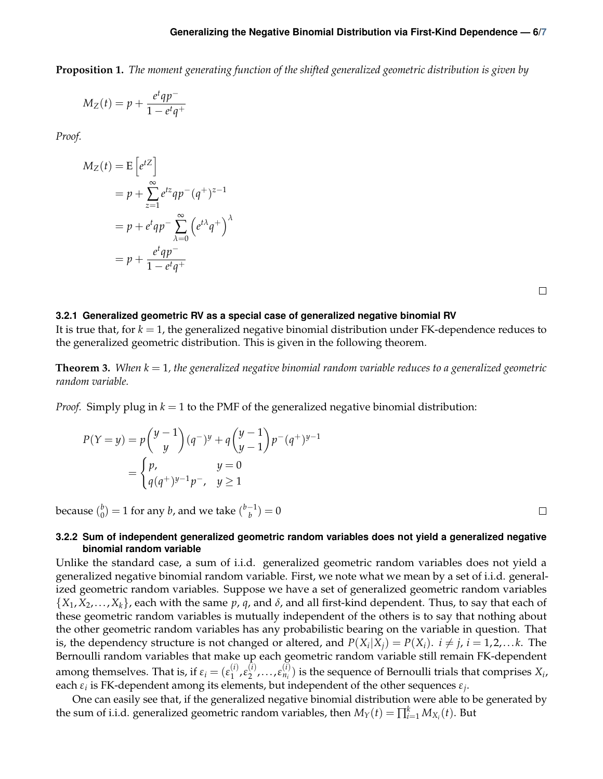# **Generalizing the Negative Binomial Distribution via First-Kind Dependence — 6[/7](#page-6-2)**

**Proposition 1.** *The moment generating function of the shifted generalized geometric distribution is given by*

$$
M_Z(t) = p + \frac{e^t q p^-}{1 - e^t q^+}
$$

*Proof.*

$$
M_Z(t) = E\left[e^{tZ}\right]
$$
  
=  $p + \sum_{z=1}^{\infty} e^{tz} q p^-(q^+)^{z-1}$   
=  $p + e^t q p^- \sum_{\lambda=0}^{\infty} \left(e^{t\lambda} q^+\right)^{\lambda}$   
=  $p + \frac{e^t q p^-}{1 - e^t q^+}$ 

 $\Box$ 

#### <span id="page-5-0"></span>**3.2.1 Generalized geometric RV as a special case of generalized negative binomial RV**

It is true that, for *k* = 1, the generalized negative binomial distribution under FK-dependence reduces to the generalized geometric distribution. This is given in the following theorem.

**Theorem 3.** When  $k = 1$ , the generalized negative binomial random variable reduces to a generalized geometric *random variable.*

*Proof.* Simply plug in *k* = 1 to the PMF of the generalized negative binomial distribution:

$$
P(Y = y) = p \binom{y-1}{y} (q^{-})^y + q \binom{y-1}{y-1} p^{-} (q^{+})^{y-1}
$$
  
= 
$$
\begin{cases} p, & y = 0 \\ q(q^{+})^{y-1} p^{-}, & y \ge 1 \end{cases}
$$

because ( *b*  $\binom{b}{0} = 1$  for any *b*, and we take  $\binom{b-1}{b}$  $\binom{1}{b} = 0$ 

 $\Box$ 

## <span id="page-5-1"></span>**3.2.2 Sum of independent generalized geometric random variables does not yield a generalized negative binomial random variable**

Unlike the standard case, a sum of i.i.d. generalized geometric random variables does not yield a generalized negative binomial random variable. First, we note what we mean by a set of i.i.d. generalized geometric random variables. Suppose we have a set of generalized geometric random variables  $\{X_1, X_2, \ldots, X_k\}$ , each with the same  $p$ ,  $q$ , and  $\delta$ , and all first-kind dependent. Thus, to say that each of these geometric random variables is mutually independent of the others is to say that nothing about the other geometric random variables has any probabilistic bearing on the variable in question. That is, the dependency structure is not changed or altered, and  $P(X_i|X_j) = P(X_i)$ .  $i \neq j$ ,  $i = 1, 2, ...k$ . The Bernoulli random variables that make up each geometric random variable still remain FK-dependent among themselves. That is, if  $\varepsilon_i = (\varepsilon_1^{(i)})$  $\mathcal{E}_1^{(i)}$ ,  $\mathcal{E}_2^{(i)}$  $\zeta_2^{(i)}, \ldots, \varepsilon_{n_i}^{(i)}$  $\binom{n}{n_i}$  is the sequence of Bernoulli trials that comprises  $X_i$ , each *ε<sup>i</sup>* is FK-dependent among its elements, but independent of the other sequences *ε<sup>j</sup>* .

One can easily see that, if the generalized negative binomial distribution were able to be generated by the sum of i.i.d. generalized geometric random variables, then  $M_Y(t) = \prod_{i=1}^k M_{X_i}(t)$ . But